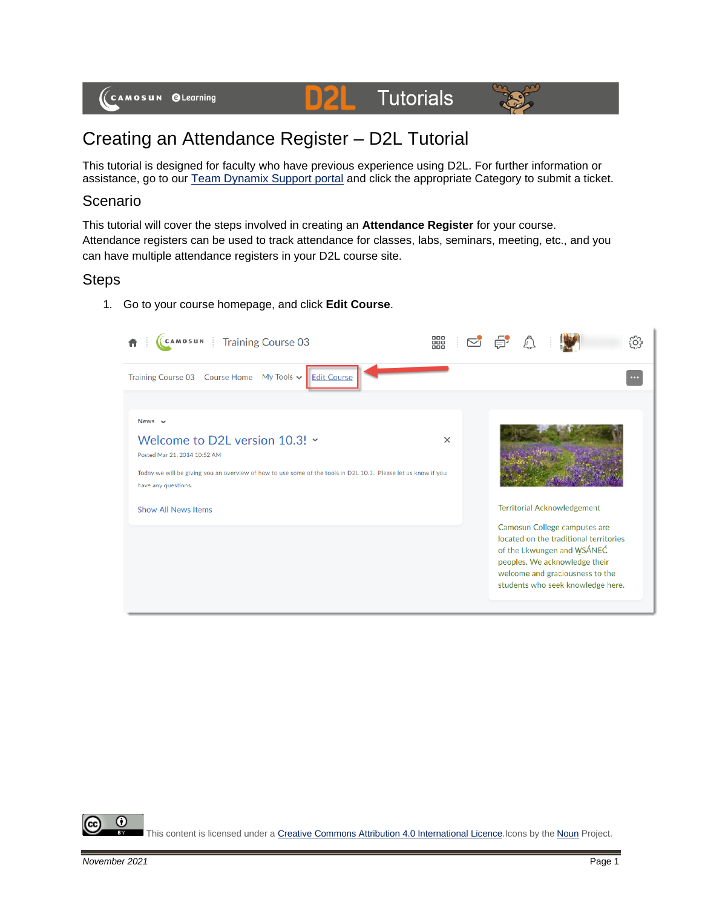

# Creating an Attendance Register – D2L Tutorial

D

This tutorial is designed for faculty who have previous experience using D2L. For further information or assistance, go to our [Team Dynamix Support portal](https://camosun.teamdynamix.com/TDClient/67/Portal/Requests/ServiceCatalog?CategoryID=523) and click the appropriate Category to submit a ticket.

## Scenario

This tutorial will cover the steps involved in creating an **Attendance Register** for your course. Attendance registers can be used to track attendance for classes, labs, seminars, meeting, etc., and you can have multiple attendance registers in your D2L course site.

## Steps

1. Go to your course homepage, and click **Edit Course**.



⋒ This content is licensed under [a Creative Commons Attribution 4.0 International Licence.I](https://creativecommons.org/licenses/by/4.0/)cons by the [Noun](https://creativecommons.org/website-icons/) Project.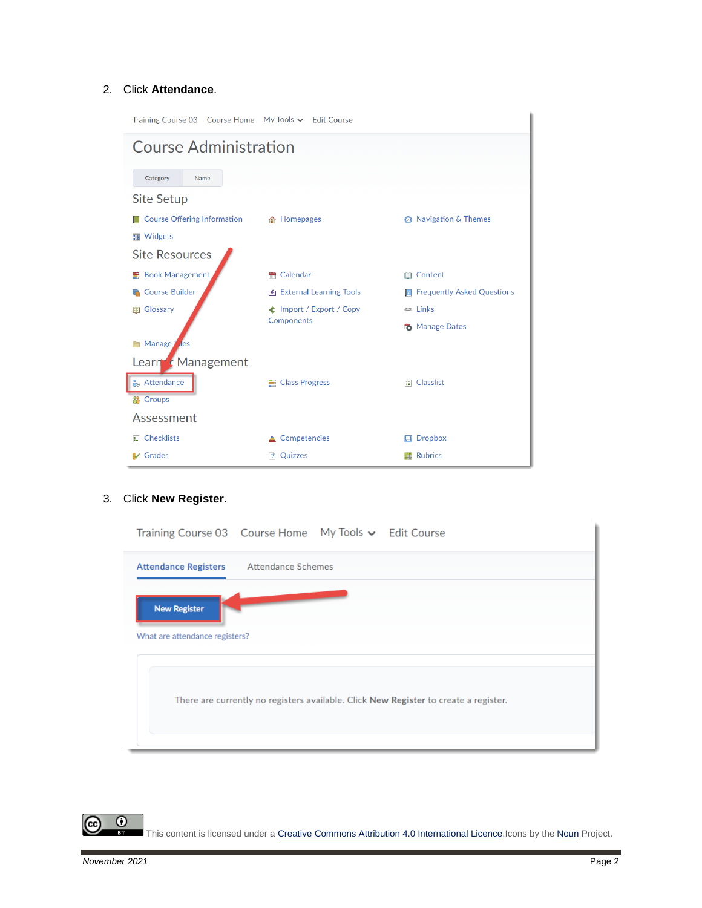#### 2. Click **Attendance**.

| Training Course 03 Course Home My Tools ↓ Edit Course |                                 |                                     |  |  |  |  |  |  |
|-------------------------------------------------------|---------------------------------|-------------------------------------|--|--|--|--|--|--|
| <b>Course Administration</b>                          |                                 |                                     |  |  |  |  |  |  |
| Category<br>Name                                      |                                 |                                     |  |  |  |  |  |  |
| <b>Site Setup</b>                                     |                                 |                                     |  |  |  |  |  |  |
| <b>Course Offering Information</b>                    | 合 Homepages                     | <b>8</b> Navigation & Themes        |  |  |  |  |  |  |
| <b>■</b> Widgets                                      |                                 |                                     |  |  |  |  |  |  |
| <b>Site Resources</b>                                 |                                 |                                     |  |  |  |  |  |  |
| Book Management                                       | Calendar<br>÷                   | <b>III</b> Content                  |  |  |  |  |  |  |
| <b>Course Builder</b>                                 | External Learning Tools         | <b>E</b> Frequently Asked Questions |  |  |  |  |  |  |
| Glossary<br>目目                                        | <b>全</b> Import / Export / Copy | <b>es</b> Links                     |  |  |  |  |  |  |
|                                                       | Components                      | <b>B</b> Manage Dates               |  |  |  |  |  |  |
| Manage<br><b>Tes</b>                                  |                                 |                                     |  |  |  |  |  |  |
| Learn c Management                                    |                                 |                                     |  |  |  |  |  |  |
| <b>Attendance</b>                                     | ■ Class Progress                | $E$ Classlist                       |  |  |  |  |  |  |
| <b>S</b> Groups                                       |                                 |                                     |  |  |  |  |  |  |
| Assessment                                            |                                 |                                     |  |  |  |  |  |  |
| $E$ Checklists                                        | Competencies                    | <b>Dropbox</b>                      |  |  |  |  |  |  |
| <b>V</b> Grades                                       | P Quizzes                       | <b>Rubrics</b>                      |  |  |  |  |  |  |

## 3. Click **New Register**.

| Training Course 03  Course Home  My Tools v  Edit Course                             |
|--------------------------------------------------------------------------------------|
| Attendance Schemes<br><b>Attendance Registers</b>                                    |
| <b>New Register</b><br>What are attendance registers?                                |
| There are currently no registers available. Click New Register to create a register. |
|                                                                                      |

This content is licensed under [a Creative Commons Attribution 4.0 International Licence.I](https://creativecommons.org/licenses/by/4.0/)cons by the [Noun](https://creativecommons.org/website-icons/) Project.

 $\overline{0}$ 

 $\bar{z}$ 

ဇ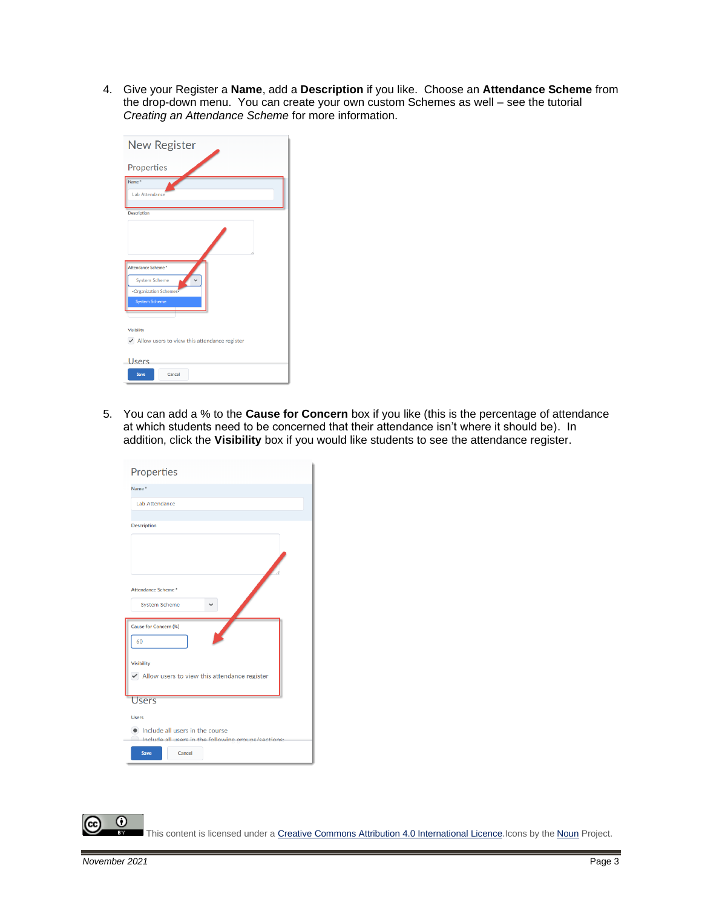4. Give your Register a **Name**, add a **Description** if you like. Choose an **Attendance Scheme** from the drop-down menu. You can create your own custom Schemes as well – see the tutorial *Creating an Attendance Scheme* for more information.

| <b>New Register</b>                                                                         |
|---------------------------------------------------------------------------------------------|
| Properties                                                                                  |
| Name <sup>*</sup><br><b>Lab Attendance</b>                                                  |
| <b>Description</b>                                                                          |
|                                                                                             |
| Attendance Scheme*<br><b>System Scheme</b><br>-Organization Schemes<br><b>System Scheme</b> |
| <b>Visibility</b>                                                                           |
| $\blacktriangleright$ Allow users to view this attendance register<br>Users                 |
| Cancel<br>Save                                                                              |

5. You can add a % to the **Cause for Concern** box if you like (this is the percentage of attendance at which students need to be concerned that their attendance isn't where it should be). In addition, click the **Visibility** box if you would like students to see the attendance register.

| Properties                                                         |
|--------------------------------------------------------------------|
| Name <sup>*</sup>                                                  |
| Lab Attendance                                                     |
| <b>Description</b>                                                 |
|                                                                    |
|                                                                    |
|                                                                    |
|                                                                    |
| Attendance Scheme*                                                 |
| <b>System Scheme</b>                                               |
| Cause for Concern (%)                                              |
| 60                                                                 |
|                                                                    |
| <b>Visibility</b>                                                  |
| $\blacktriangleright$ Allow users to view this attendance register |
| <b>Users</b>                                                       |
| <b>Users</b>                                                       |
| Include all users in the course                                    |
| Include all users in the following grouns/sections:                |
| Cancel<br><b>Save</b>                                              |
|                                                                    |

This content is licensed under [a Creative Commons Attribution 4.0 International Licence.I](https://creativecommons.org/licenses/by/4.0/)cons by the [Noun](https://creativecommons.org/website-icons/) Project.

 $\odot$